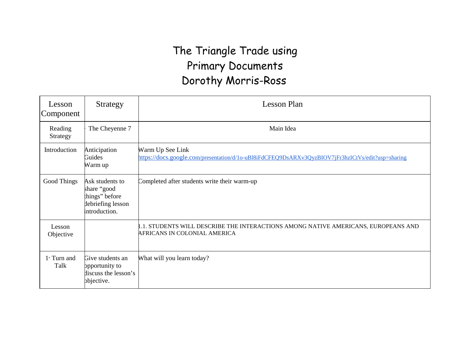## The Triangle Trade using Primary Documents Dorothy Morris-Ross

| Lesson<br>Component               | Strategy                                                                               | Lesson Plan                                                                                                           |
|-----------------------------------|----------------------------------------------------------------------------------------|-----------------------------------------------------------------------------------------------------------------------|
| Reading<br>Strategy               | The Cheyenne 7                                                                         | Main Idea                                                                                                             |
| Introduction                      | Anticipation<br>Guides<br>Warm up                                                      | Warm Up See Link<br>https://docs.google.com/presentation/d/1o-uBl8iFdCFEQ9DsARXv3QyzBIOV7jFr3hzICtVs/edit?usp=sharing |
| Good Things                       | Ask students to<br>share "good<br>things" before<br>debriefing lesson<br>introduction. | Completed after students write their warm-up                                                                          |
| Lesson<br>Objective               |                                                                                        | 1.1. STUDENTS WILL DESCRIBE THE INTERACTIONS AMONG NATIVE AMERICANS, EUROPEANS AND<br>AFRICANS IN COLONIAL AMERICA    |
| $1$ <sup>s</sup> Turn and<br>Talk | Give students an<br>opportunity to<br>discuss the lesson's<br>bbjective.               | What will you learn today?                                                                                            |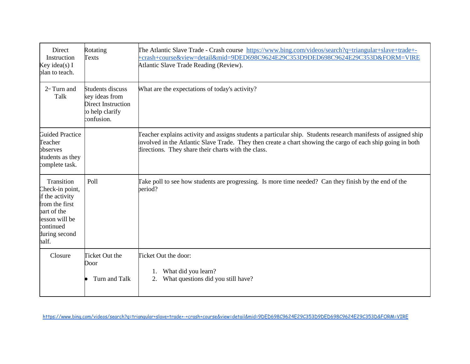| Direct<br>Instruction<br>Key idea(s) I<br>plan to teach.                                                                                   | Rotating<br>Texts                                                                         | The Atlantic Slave Trade - Crash course https://www.bing.com/videos/search?q=triangular+slave+trade+-<br>+crash+course&view=detail∣=9DED698C9624E29C353D9DED698C9624E29C353D&FORM=VIRE<br>Atlantic Slave Trade Reading (Review).                                                     |  |  |  |  |  |
|--------------------------------------------------------------------------------------------------------------------------------------------|-------------------------------------------------------------------------------------------|--------------------------------------------------------------------------------------------------------------------------------------------------------------------------------------------------------------------------------------------------------------------------------------|--|--|--|--|--|
| $2nd$ Turn and<br>Talk                                                                                                                     | Students discuss<br>key ideas from<br>Direct Instruction<br>to help clarify<br>confusion. | What are the expectations of today's activity?                                                                                                                                                                                                                                       |  |  |  |  |  |
| <b>Guided Practice</b><br>Teacher<br>observes<br>students as they<br>complete task.                                                        |                                                                                           | Teacher explains activity and assigns students a particular ship. Students research manifests of assigned ship<br>involved in the Atlantic Slave Trade. They then create a chart showing the cargo of each ship going in both<br>directions. They share their charts with the class. |  |  |  |  |  |
| Transition<br>Check-in point,<br>if the activity<br>from the first<br>part of the<br>lesson will be<br>continued<br>during second<br>half. | Poll                                                                                      | Take poll to see how students are progressing. Is more time needed? Can they finish by the end of the<br>period?                                                                                                                                                                     |  |  |  |  |  |
| Closure                                                                                                                                    | Ticket Out the<br>Door<br>Turn and Talk                                                   | Ticket Out the door:<br>What did you learn?<br>1.<br>What questions did you still have?<br>2.                                                                                                                                                                                        |  |  |  |  |  |

<https://www.bing.com/videos/search?q=triangular+slave+trade+-+crash+course&view=detail&mid=9DED698C9624E29C353D9DED698C9624E29C353D&FORM=VIRE>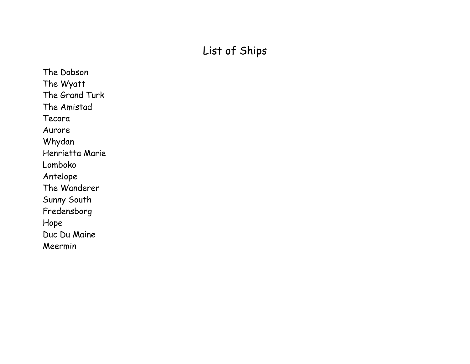## List of Ships

The Dobson The Wyatt The Grand Turk The Amistad Tecora Aurore Whydan Henrietta Marie Lomboko Antelope The Wanderer Sunny South Fredensborg Hope Duc Du Maine Meermin